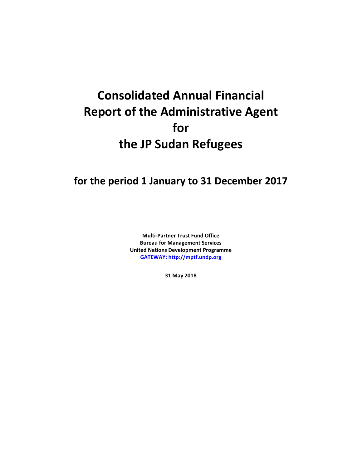# **Consolidated Annual Financial Report of the Administrative Agent for the JP Sudan Refugees**

# **for the period 1 January to 31 December 2017**

**Multi-Partner Trust Fund Office Bureau for Management Services United Nations Development Programme [GATEWAY: http://mptf.undp.org](http://mptf.undp.org/)**

**31 May 2018**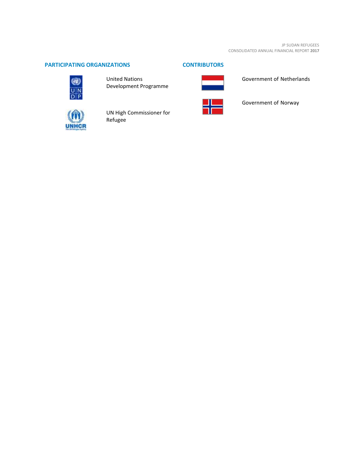# **PARTICIPATING ORGANIZATIONS CONTRIBUTORS**



United Nations Development Programme



# Government of Netherlands



UN High Commissioner for Refugee



Government of Norway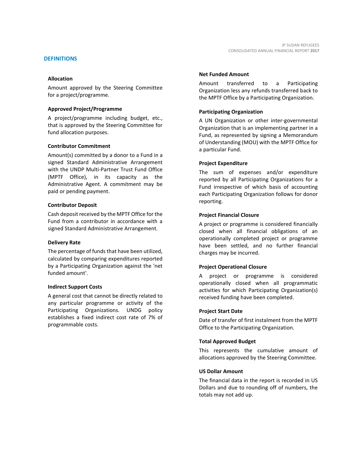### **DEFINITIONS**

#### **Allocation**

Amount approved by the Steering Committee for a project/programme.

#### **Approved Project/Programme**

A project/programme including budget, etc., that is approved by the Steering Committee for fund allocation purposes.

#### **Contributor Commitment**

Amount(s) committed by a donor to a Fund in a signed Standard Administrative Arrangement with the UNDP Multi-Partner Trust Fund Office (MPTF Office), in its capacity as the Administrative Agent. A commitment may be paid or pending payment.

#### **Contributor Deposit**

Cash deposit received by the MPTF Office for the Fund from a contributor in accordance with a signed Standard Administrative Arrangement.

#### **Delivery Rate**

The percentage of funds that have been utilized, calculated by comparing expenditures reported by a Participating Organization against the 'net funded amount'.

#### **Indirect Support Costs**

A general cost that cannot be directly related to any particular programme or activity of the Participating Organizations. UNDG policy establishes a fixed indirect cost rate of 7% of programmable costs.

#### **Net Funded Amount**

Amount transferred to a Participating Organization less any refunds transferred back to the MPTF Office by a Participating Organization.

#### **Participating Organization**

A UN Organization or other inter-governmental Organization that is an implementing partner in a Fund, as represented by signing a Memorandum of Understanding (MOU) with the MPTF Office for a particular Fund.

#### **Project Expenditure**

The sum of expenses and/or expenditure reported by all Participating Organizations for a Fund irrespective of which basis of accounting each Participating Organization follows for donor reporting.

#### **Project Financial Closure**

A project or programme is considered financially closed when all financial obligations of an operationally completed project or programme have been settled, and no further financial charges may be incurred.

#### **Project Operational Closure**

A project or programme is considered operationally closed when all programmatic activities for which Participating Organization(s) received funding have been completed.

#### **Project Start Date**

Date of transfer of first instalment from the MPTF Office to the Participating Organization.

#### **Total Approved Budget**

This represents the cumulative amount of allocations approved by the Steering Committee.

#### **US Dollar Amount**

The financial data in the report is recorded in US Dollars and due to rounding off of numbers, the totals may not add up.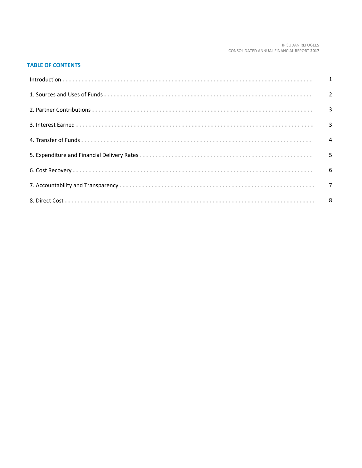#### JP SUDAN REFUGEES CONSOLIDATED ANNUAL FINANCIAL REPORT 2017

# **TABLE OF CONTENTS**

| Introduction 1 1 |  |
|------------------|--|
|                  |  |
|                  |  |
|                  |  |
|                  |  |
|                  |  |
|                  |  |
|                  |  |
|                  |  |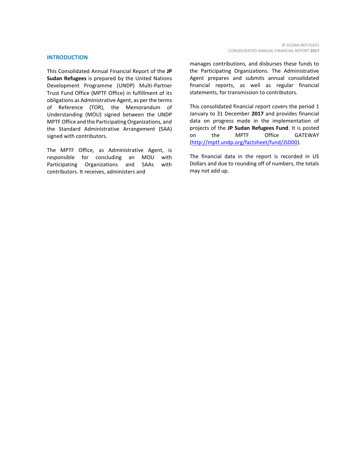#### **INTRODUCTION**

This Consolidated Annual Financial Report of the **JP Sudan Refugees** is prepared by the United Nations Development Programme (UNDP) Multi-Partner Trust Fund Office (MPTF Office) in fulfillment of its obligations as Administrative Agent, as per the terms of Reference (TOR), the Memorandum of Understanding (MOU) signed between the UNDP MPTF Office and the Participating Organizations, and the Standard Administrative Arrangement (SAA) signed with contributors.

The MPTF Office, as Administrative Agent, is responsible for concluding an MOU with Participating Organizations and SAAs with contributors. It receives, administers and

manages contributions, and disburses these funds to the Participating Organizations. The Administrative Agent prepares and submits annual consolidated financial reports, as well as regular financial statements, for transmission to contributors.

This consolidated financial report covers the period 1 January to 31 December **2017** and provides financial data on progress made in the implementation of projects of the **JP Sudan Refugees Fund**. It is posted on the MPTF Office GATEWAY [\(http://mptf.undp.org/factsheet/fund/JSD00\)](http://mptf.undp.org/factsheet/fund/JSD00).

The financial data in the report is recorded in US Dollars and due to rounding off of numbers, the totals may not add up.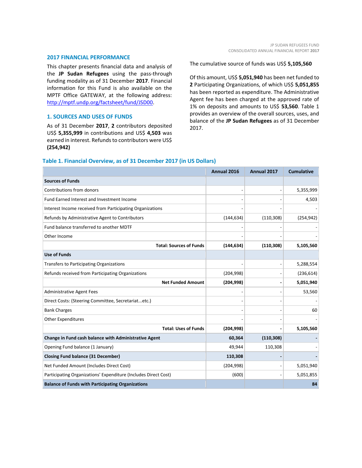#### **2017 FINANCIAL PERFORMANCE**

This chapter presents financial data and analysis of the **JP Sudan Refugees** using the pass-through funding modality as of 31 December **2017**. Financial information for this Fund is also available on the MPTF Office GATEWAY, at the following address: [http://mptf.undp.org/factsheet/fund/JSD00.](http://mptf.undp.org/factsheet/fund/JSD00)

### **1. SOURCES AND USES OF FUNDS**

As of 31 December **2017**, **2** contributors deposited US\$ **5,355,999** in contributions and US\$ **4,503** was earned in interest. Refunds to contributors were US\$ **(254,942)**

The cumulative source of funds was US\$ **5,105,560**

Of this amount, US\$ **5,051,940** has been net funded to **2** Participating Organizations, of which US\$ **5,051,855** has been reported as expenditure. The Administrative Agent fee has been charged at the approved rate of 1% on deposits and amounts to US\$ **53,560**. Table 1 provides an overview of the overall sources, uses, and balance of the **JP Sudan Refugees** as of 31 December 2017.

## **Table 1. Financial Overview, as of 31 December 2017 (in US Dollars)**

|                                                                 | Annual 2016 | Annual 2017 | <b>Cumulative</b> |
|-----------------------------------------------------------------|-------------|-------------|-------------------|
| <b>Sources of Funds</b>                                         |             |             |                   |
| Contributions from donors                                       |             |             | 5,355,999         |
| Fund Earned Interest and Investment Income                      |             |             | 4,503             |
| Interest Income received from Participating Organizations       |             |             |                   |
| Refunds by Administrative Agent to Contributors                 | (144, 634)  | (110, 308)  | (254, 942)        |
| Fund balance transferred to another MDTF                        |             |             |                   |
| Other Income                                                    |             |             |                   |
| <b>Total: Sources of Funds</b>                                  | (144, 634)  | (110, 308)  | 5,105,560         |
| <b>Use of Funds</b>                                             |             |             |                   |
| <b>Transfers to Participating Organizations</b>                 |             |             | 5,288,554         |
| Refunds received from Participating Organizations               | (204, 998)  |             | (236, 614)        |
| <b>Net Funded Amount</b>                                        | (204, 998)  |             | 5,051,940         |
| <b>Administrative Agent Fees</b>                                |             |             | 53,560            |
| Direct Costs: (Steering Committee, Secretariatetc.)             |             |             |                   |
| <b>Bank Charges</b>                                             |             |             | 60                |
| <b>Other Expenditures</b>                                       |             |             |                   |
| <b>Total: Uses of Funds</b>                                     | (204, 998)  |             | 5,105,560         |
| Change in Fund cash balance with Administrative Agent           | 60,364      | (110, 308)  |                   |
| Opening Fund balance (1 January)                                | 49,944      | 110,308     |                   |
| <b>Closing Fund balance (31 December)</b>                       | 110,308     |             |                   |
| Net Funded Amount (Includes Direct Cost)                        | (204, 998)  |             | 5,051,940         |
| Participating Organizations' Expenditure (Includes Direct Cost) | (600)       |             | 5,051,855         |
| <b>Balance of Funds with Participating Organizations</b>        |             |             | 84                |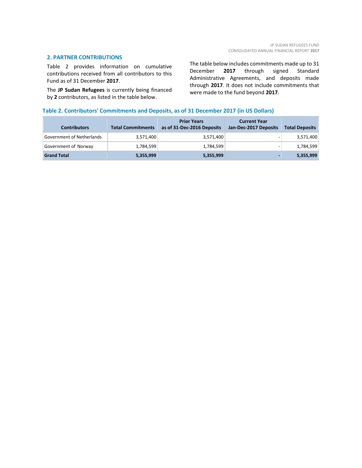#### **2. PARTNER CONTRIBUTIONS**

Table 2 provides information on cumulative contributions received from all contributors to this Fund as of 31 December **2017**.

The **JP Sudan Refugees** is currently being financed by **2** contributors, as listed in the table below.

The table below includes commitments made up to 31 December **2017** through signed Standard Administrative Agreements, and deposits made through **2017**. It does not include commitments that were made to the fund beyond **2017**.

# **Table 2. Contributors' Commitments and Deposits, as of 31 December 2017 (in US Dollars)**

| <b>Contributors</b>       | <b>Total Commitments</b> | <b>Prior Years</b><br>as of 31-Dec-2016 Deposits | <b>Current Year</b><br>Jan-Dec-2017 Deposits | <b>Total Deposits</b> |
|---------------------------|--------------------------|--------------------------------------------------|----------------------------------------------|-----------------------|
| Government of Netherlands | 3,571,400                | 3,571,400                                        | -                                            | 3,571,400             |
| Government of Norway      | 1,784,599                | 1,784,599                                        |                                              | 1,784,599             |
| <b>Grand Total</b>        | 5,355,999                | 5,355,999                                        |                                              | 5,355,999             |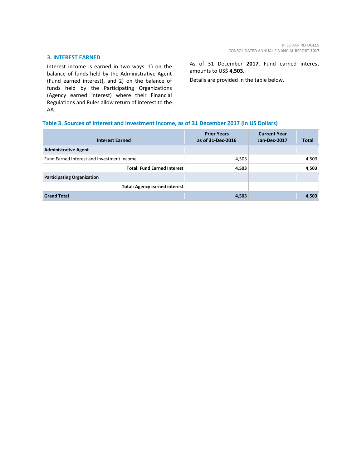#### **3. INTEREST EARNED**

Interest income is earned in two ways: 1) on the balance of funds held by the Administrative Agent (Fund earned interest), and 2) on the balance of funds held by the Participating Organizations (Agency earned interest) where their Financial Regulations and Rules allow return of interest to the AA.

As of 31 December **2017**, Fund earned interest amounts to US\$ **4,503**.

Details are provided in the table below.

# **Table 3. Sources of Interest and Investment Income, as of 31 December 2017 (in US Dollars)**

| <b>Interest Earned</b>                     | <b>Prior Years</b><br>as of 31-Dec-2016 | <b>Current Year</b><br>Jan-Dec-2017 | <b>Total</b> |
|--------------------------------------------|-----------------------------------------|-------------------------------------|--------------|
| <b>Administrative Agent</b>                |                                         |                                     |              |
| Fund Earned Interest and Investment Income | 4,503                                   |                                     | 4,503        |
| <b>Total: Fund Earned Interest</b>         | 4,503                                   |                                     | 4,503        |
| <b>Participating Organization</b>          |                                         |                                     |              |
| <b>Total: Agency earned interest</b>       |                                         |                                     |              |
| <b>Grand Total</b>                         | 4,503                                   |                                     | 4,503        |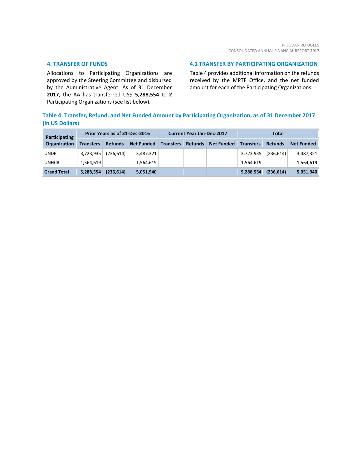#### **4. TRANSFER OF FUNDS**

Allocations to Participating Organizations are approved by the Steering Committee and disbursed by the Administrative Agent. As of 31 December **2017**, the AA has transferred US\$ **5,288,554** to **2** Participating Organizations (see list below).

#### **4.1 TRANSFER BY PARTICIPATING ORGANIZATION**

Table 4 provides additional information on the refunds received by the MPTF Office, and the net funded amount for each of the Participating Organizations.

# **Table 4. Transfer, Refund, and Net Funded Amount by Participating Organization, as of 31 December 2017 (in US Dollars)**

| <b>Participating</b> | Prior Years as of 31-Dec-2016 |                |                   | <b>Current Year Jan-Dec-2017</b> |                |                   | Total            |                |                   |
|----------------------|-------------------------------|----------------|-------------------|----------------------------------|----------------|-------------------|------------------|----------------|-------------------|
| Organization         | <b>Transfers</b>              | <b>Refunds</b> | <b>Net Funded</b> | <b>Transfers</b>                 | <b>Refunds</b> | <b>Net Funded</b> | <b>Transfers</b> | <b>Refunds</b> | <b>Net Funded</b> |
| <b>UNDP</b>          | 3,723,935                     | (236, 614)     | 3,487,321         |                                  |                |                   | 3,723,935        | (236, 614)     | 3,487,321         |
| <b>UNHCR</b>         | 1,564,619                     |                | 1,564,619         |                                  |                |                   | 1,564,619        |                | 1,564,619         |
| <b>Grand Total</b>   | 5,288,554                     | (236, 614)     | 5,051,940         |                                  |                |                   | 5,288,554        | (236, 614)     | 5,051,940         |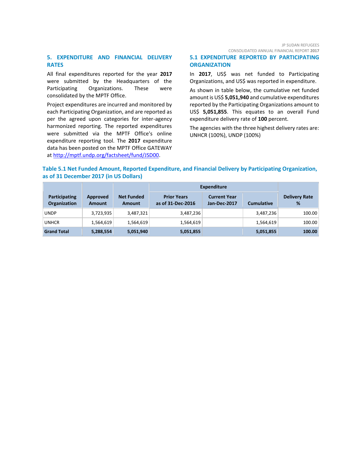# **5. EXPENDITURE AND FINANCIAL DELIVERY RATES**

All final expenditures reported for the year **2017** were submitted by the Headquarters of the Participating Organizations. These were consolidated by the MPTF Office.

Project expenditures are incurred and monitored by each Participating Organization, and are reported as per the agreed upon categories for inter-agency harmonized reporting. The reported expenditures were submitted via the MPTF Office's online expenditure reporting tool. The **2017** expenditure data has been posted on the MPTF Office GATEWAY at [http://mptf.undp.org/factsheet/fund/JSD00.](http://mptf.undp.org/factsheet/fund/JSD00)

CONSOLIDATED ANNUAL FINANCIAL REPORT **2017**

# **5.1 EXPENDITURE REPORTED BY PARTICIPATING ORGANIZATION**

In **2017**, US\$ was net funded to Participating Organizations, and US\$ was reported in expenditure.

As shown in table below, the cumulative net funded amount is US\$ **5,051,940** and cumulative expenditures reported by the Participating Organizations amount to US\$ **5,051,855**. This equates to an overall Fund expenditure delivery rate of **100** percent.

The agencies with the three highest delivery rates are: UNHCR (100%), UNDP (100%)

# **Table 5.1 Net Funded Amount, Reported Expenditure, and Financial Delivery by Participating Organization, as of 31 December 2017 (in US Dollars)**

|                                             |                           |                             | <b>Expenditure</b>                      |                                     |                   |                           |
|---------------------------------------------|---------------------------|-----------------------------|-----------------------------------------|-------------------------------------|-------------------|---------------------------|
| <b>Participating</b><br><b>Organization</b> | Approved<br><b>Amount</b> | <b>Net Funded</b><br>Amount | <b>Prior Years</b><br>as of 31-Dec-2016 | <b>Current Year</b><br>Jan-Dec-2017 | <b>Cumulative</b> | <b>Delivery Rate</b><br>% |
| <b>UNDP</b>                                 | 3,723,935                 | 3,487,321                   | 3,487,236                               |                                     | 3,487,236         | 100.00                    |
| <b>UNHCR</b>                                | 1,564,619                 | 1,564,619                   | 1,564,619                               |                                     | 1,564,619         | 100.00                    |
| <b>Grand Total</b>                          | 5,288,554                 | 5,051,940                   | 5,051,855                               |                                     | 5,051,855         | 100.00                    |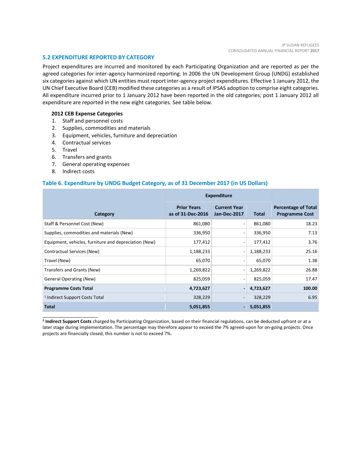#### **5.2 EXPENDITURE REPORTED BY CATEGORY**

Project expenditures are incurred and monitored by each Participating Organization and are reported as per the agreed categories for inter-agency harmonized reporting. In 2006 the UN Development Group (UNDG) established six categories against which UN entities must report inter-agency project expenditures. Effective 1 January 2012, the UN Chief Executive Board (CEB) modified these categories as a result of IPSAS adoption to comprise eight categories. All expenditure incurred prior to 1 January 2012 have been reported in the old categories; post 1 January 2012 all expenditure are reported in the new eight categories. See table below.

#### **2012 CEB Expense Categories**

- 1. Staff and personnel costs
- 2. Supplies, commodities and materials
- 3. Equipment, vehicles, furniture and depreciation
- 4. Contractual services
- 5. Travel
- 6. Transfers and grants
- 7. General operating expenses
- 8. Indirect costs

\_\_\_\_\_\_\_\_\_\_\_\_\_\_\_\_\_\_\_\_\_\_

#### **Table 6. Expenditure by UNDG Budget Category, as of 31 December 2017 (in US Dollars)**

|                                                       | <b>Expenditure</b>                      |                                     |              |                                                     |
|-------------------------------------------------------|-----------------------------------------|-------------------------------------|--------------|-----------------------------------------------------|
| Category                                              | <b>Prior Years</b><br>as of 31-Dec-2016 | <b>Current Year</b><br>Jan-Dec-2017 | <b>Total</b> | <b>Percentage of Total</b><br><b>Programme Cost</b> |
| Staff & Personnel Cost (New)                          | 861,080                                 | $\overline{\phantom{a}}$            | 861,080      | 18.23                                               |
| Supplies, commodities and materials (New)             | 336,950                                 | $\overline{\phantom{a}}$            | 336,950      | 7.13                                                |
| Equipment, vehicles, furniture and depreciation (New) | 177,412                                 | $\overline{\phantom{a}}$            | 177,412      | 3.76                                                |
| Contractual Services (New)                            | 1,188,233                               | $\overline{\phantom{a}}$            | 1,188,233    | 25.16                                               |
| Travel (New)                                          | 65,070                                  | $\overline{\phantom{a}}$            | 65,070       | 1.38                                                |
| Transfers and Grants (New)                            | 1,269,822                               | $\overline{\phantom{a}}$            | 1,269,822    | 26.88                                               |
| <b>General Operating (New)</b>                        | 825,059                                 | $\overline{\phantom{a}}$            | 825,059      | 17.47                                               |
| <b>Programme Costs Total</b>                          | 4,723,627                               | $\blacksquare$                      | 4,723,627    | 100.00                                              |
| <sup>1</sup> Indirect Support Costs Total             | 328,229                                 | $\sim$                              | 328,229      | 6.95                                                |
| <b>Total</b>                                          | 5,051,855                               |                                     | 5,051,855    |                                                     |

**1 Indirect Support Costs** charged by Participating Organization, based on their financial regulations, can be deducted upfront or at a later stage during implementation. The percentage may therefore appear to exceed the 7% agreed-upon for on-going projects. Once projects are financially closed, this number is not to exceed 7%.